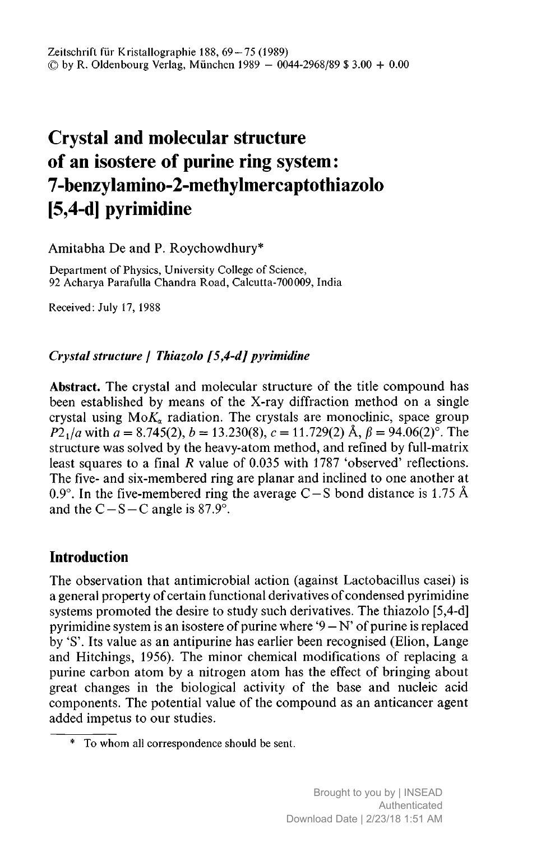# Crystal and molecular structure of an isostere of purine ring system: 7-benzylamino-2-methylmercaptothiazolo [5,4-d] pyrimidine

Amitabha De and P. Roychowdhury\*

Department of Physics, University College of Science, <sup>92</sup> Acharya Parafulla Chandra Road, Calcutta-700009, India

Received: July 17, 1988

## Crystal structure / Thiazolo [5,4-d] pyrimidine

Abstract. The crystal and molecular structure of the title compound has been established by means of the X-ray diffraction method on <sup>a</sup> single crystal using  $M_0K_a$  radiation. The crystals are monoclinic, space group  $P2_1/a$  with  $a = 8.745(2), b = 13.230(8), c = 11.729(2)$  Å,  $\beta = 94.06(2)^\circ$ . The structure was solved by the heavy-atom method, and refined by full-matrix least squares to a final R value of 0.035 with 1787 'observed' reflections. The five- and six-membered ring are planar and inclined to one another at 0.9°. In the five-membered ring the average C – S bond distance is 1.75 Å and the C-S-C angle is  $87.9^{\circ}$ .

# **Introduction**

The observation that antimicrobial action (against Lactobacillus casei) is a general property of certain functional derivatives of condensed pyrimidine systems promoted the desire to study such derivatives. The thiazolo [5,4-d] pyrimidine system is an isostere of purine where  $9-N'$  of purine is replaced by 'S'. Its value as an antipurine has earlier been recognised (Elion, Lange and Hitchings, 1956). The minor chemical modifications of replacing <sup>a</sup> purine carbon atom by <sup>a</sup> nitrogen atom has the effect of bringing about great changes in the biological activity of the base and nucleic acid components. The potential value of the compound as an anticancer agent added impetus to our studies.

 $\overline{\hspace{1cm}}$  To whom all correspondence should be sent.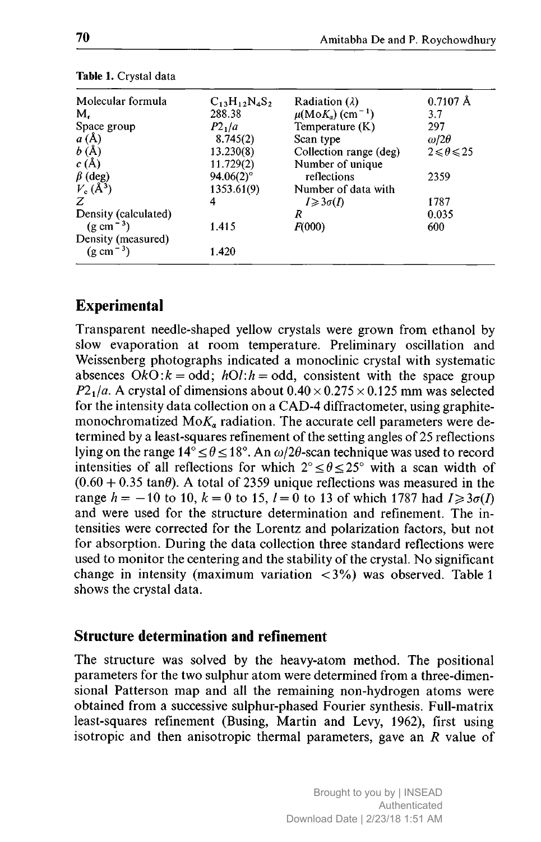| Molecular formula     | $C_{13}H_{12}N_4S_2$ | Radiation $(\lambda)$                   | $0.7107$ Å              |
|-----------------------|----------------------|-----------------------------------------|-------------------------|
| М.                    | 288.38               | $\mu(MoK_{\alpha})$ (cm <sup>-1</sup> ) | 3.7                     |
| Space group           | P2 <sub>1</sub> /a   | Temperature $(K)$                       | 297                     |
| a(A)                  | 8.745(2)             | Scan type                               | $\omega/2\theta$        |
| b(A)                  | 13.230(8)            | Collection range (deg)                  | $2 \leq \theta \leq 25$ |
| c(A)                  | 11.729(2)            | Number of unique                        |                         |
| $\beta$ (deg)         | $94.06(2)$ °         | reflections                             | 2359                    |
| $V_c(\AA^3)$          | 1353.61(9)           | Number of data with                     |                         |
| Z                     | 4                    | $I \geqslant 3\sigma(I)$                | 1787                    |
| Density (calculated)  |                      | R                                       | 0.035                   |
| $(g \text{ cm}^{-3})$ | 1.415                | F(000)                                  | 600                     |
| Density (measured)    |                      |                                         |                         |
| $(g \text{ cm}^{-3})$ | 1.420                |                                         |                         |

Table 1. Crystal data

## Experimental

Transparent needle-shaped yellow crystals were grown from ethanol by slow evaporation at room temperature. Preliminary oscillation and Weissenberg photographs indicated <sup>a</sup> monoclinic crystal with systematic absences  $\overrightarrow{O}k\overrightarrow{O}$ :  $k = \text{odd}$ ;  $h\overrightarrow{O}l$ :  $h = \text{odd}$ , consistent with the space group  $P2<sub>1</sub>/a$ . A crystal of dimensions about  $0.40 \times 0.275 \times 0.125$  mm was selected for the intensity data collection on <sup>a</sup> CAD-4 diffractometer, using graphitemonochromatized  $MoK_{\alpha}$  radiation. The accurate cell parameters were determined by <sup>a</sup> least-squares refinement of the setting angles of <sup>25</sup> reflections lying on the range  $14^{\circ} \le \theta \le 18^{\circ}$ . An  $\omega/2\theta$ -scan technique was used to record intensities of all reflections for which  $2^{\circ} \le \theta \le 25^{\circ}$  with a scan width of  $(0.60 + 0.35 \tan\theta)$ . A total of 2359 unique reflections was measured in the range  $h = -10$  to 10,  $k = 0$  to 15,  $l = 0$  to 13 of which 1787 had  $I \geq 3\sigma(I)$ and were used for the structure determination and refinement. The intensities were corrected for the Lorentz and polarization factors, but not for absorption. During the data collection three standard reflections were used to monitor the centering and the stability of the crystal. No significant change in intensity (maximum variation  $\langle 3\% \rangle$ ) was observed. Table 1 shows the crystal data.

#### Structure determination and refinement

The structure was solved by the heavy-atom method. The positional parameters for the two sulphur atom were determined from <sup>a</sup> three-dimensional Patterson map and all the remaining non-hydrogen atoms were obtained from <sup>a</sup> successive sulphur-phased Fourier synthesis. Full-matrix least-squares refinement (Busing, Martin and Levy, 1962), first using isotropic and then anisotropic thermal parameters, gave an  $R$  value of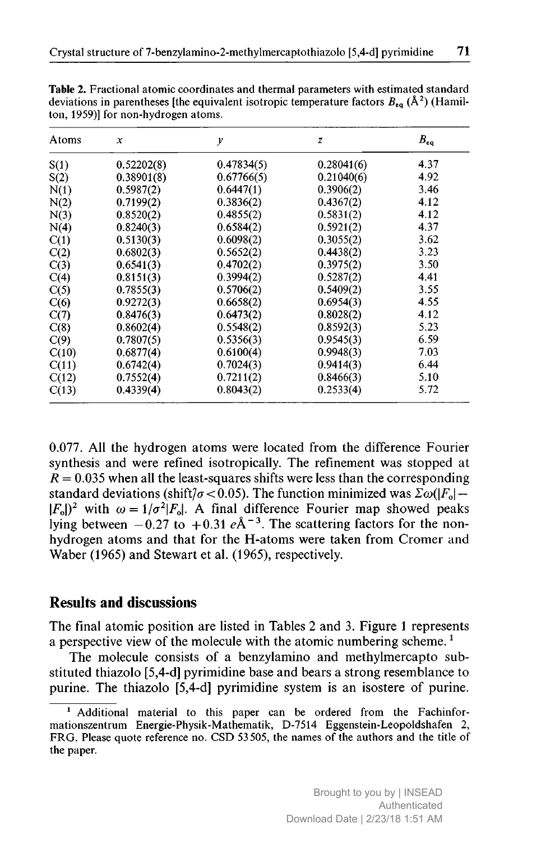| Atoms | $\boldsymbol{x}$ | y          | $\boldsymbol{z}$ | $B_{\rm ee}$ |
|-------|------------------|------------|------------------|--------------|
| S(1)  | 0.52202(8)       | 0.47834(5) | 0.28041(6)       | 4.37         |
| S(2)  | 0.38901(8)       | 0.67766(5) | 0.21040(6)       | 4.92         |
| N(1)  | 0.5987(2)        | 0.6447(1)  | 0.3906(2)        | 3.46         |
| N(2)  | 0.7199(2)        | 0.3836(2)  | 0.4367(2)        | 4.12         |
| N(3)  | 0.8520(2)        | 0.4855(2)  | 0.5831(2)        | 4.12         |
| N(4)  | 0.8240(3)        | 0.6584(2)  | 0.5921(2)        | 4.37         |
| C(1)  | 0.5130(3)        | 0.6098(2)  | 0.3055(2)        | 3.62         |
| C(2)  | 0.6802(3)        | 0.5652(2)  | 0.4438(2)        | 3.23         |
| C(3)  | 0.6541(3)        | 0.4702(2)  | 0.3975(2)        | 3.50         |
| C(4)  | 0.8151(3)        | 0.3994(2)  | 0.5287(2)        | 4.41         |
| C(5)  | 0.7855(3)        | 0.5706(2)  | 0.5409(2)        | 3.55         |
| C(6)  | 0.9272(3)        | 0.6658(2)  | 0.6954(3)        | 4.55         |
| C(7)  | 0.8476(3)        | 0.6473(2)  | 0.8028(2)        | 4.12         |
| C(8)  | 0.8602(4)        | 0.5548(2)  | 0.8592(3)        | 5.23         |
| C(9)  | 0.7807(5)        | 0.5356(3)  | 0.9545(3)        | 6.59         |
| C(10) | 0.6877(4)        | 0.6100(4)  | 0.9948(3)        | 7.03         |
| C(11) | 0.6742(4)        | 0.7024(3)  | 0.9414(3)        | 6.44         |
| C(12) | 0.7552(4)        | 0.7211(2)  | 0.8466(3)        | 5.10         |
| C(13) | 0.4339(4)        | 0.8043(2)  | 0.2533(4)        | 5.72         |

Table 2. Fractional atomic coordinates and thermal parameters with estimated standard deviations in parentheses [the equivalent isotropic temperature factors  $B_{eq}$  ( $\AA^2$ ) (Hamilton, 1959)] for non-hydrogen atoms.

0.077. All the hydrogen atoms were located from the difference Fourier synthesis and were refined isotropically. The refinement was stopped at  $R = 0.035$  when all the least-squares shifts were less than the corresponding standard deviations (shift/ $\sigma$ <0.05). The function minimized was  $\sum \omega(|F_0| (F_0\vert)^2$  with  $\omega = 1/\sigma^2\vert F_0\vert$ . A final difference Fourier map showed peaks lying between  $-0.27$  to  $+0.31$   $e\text{\AA}^{-3}$ . The scattering factors for the nonhydrogen atoms and that for the H-atoms were taken from Cromer and Waber (1965) and Stewart et al. (1965), respectively.

#### Results and discussions

The final atomic position are listed in Tables <sup>2</sup> and 3. Figure <sup>1</sup> represents a perspective view of the molecule with the atomic numbering scheme.<sup>1</sup>

The molecule consists of <sup>a</sup> benzylamino and methylmercapto substituted thiazolo [5,4-d] pyrimidine base and bears <sup>a</sup> strong resemblance to purine. The thiazolo [5,4-d] pyrimidine system is an isostere of purine.

<sup>&</sup>lt;sup>1</sup> Additional material to this paper can be ordered from the Fachinformationszentrum Energie-Physik-Mathematik, D-7514 Eggenstein-Leopoldshafen 2, FRG. Please quote reference no. CSD <sup>53</sup> 505, the names of the authors and the title of the paper.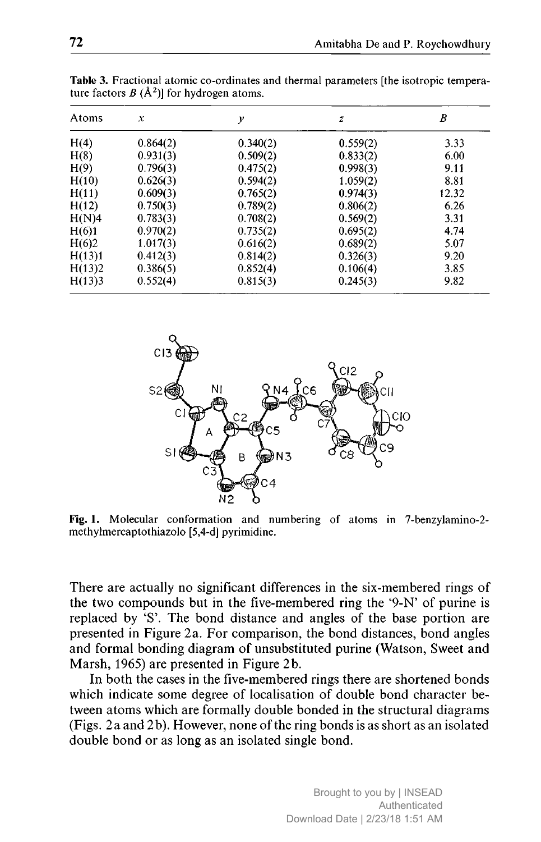| Atoms  | x        | y        | $\boldsymbol{z}$ | B     |
|--------|----------|----------|------------------|-------|
| H(4)   | 0.864(2) | 0.340(2) | 0.559(2)         | 3.33  |
| H(8)   | 0.931(3) | 0.509(2) | 0.833(2)         | 6.00  |
| H(9)   | 0.796(3) | 0.475(2) | 0.998(3)         | 9.11  |
| H(10)  | 0.626(3) | 0.594(2) | 1.059(2)         | 8.81  |
| H(11)  | 0.609(3) | 0.765(2) | 0.974(3)         | 12.32 |
| H(12)  | 0.750(3) | 0.789(2) | 0.806(2)         | 6.26  |
| H(N)4  | 0.783(3) | 0.708(2) | 0.569(2)         | 3.31  |
| H(6)1  | 0.970(2) | 0.735(2) | 0.695(2)         | 4.74  |
| H(6)2  | 1.017(3) | 0.616(2) | 0.689(2)         | 5.07  |
| H(13)1 | 0.412(3) | 0.814(2) | 0.326(3)         | 9.20  |
| H(13)2 | 0.386(5) | 0.852(4) | 0.106(4)         | 3.85  |
| H(13)3 | 0.552(4) | 0.815(3) | 0.245(3)         | 9.82  |

Table 3. Fractional atomic co-ordinates and thermal parameters [the isotropic temperature factors  $B(\AA^2)$  for hydrogen atoms.



Fig. 1. Molecular conformation and numbering of atoms in 7-benzylamino-2methylmercaptothiazolo [5,4-d] pyrimidine.

There are actually no significant differences in the six-membered rings of the two compounds but in the five-membered ring the '9-N' of purine is replaced by 'S'. The bond distance and angles of the base portion are presented in Figure 2a. For comparison, the bond distances, bond angles and formal bonding diagram of unsubstituted purine (Watson, Sweet and Marsh, 1965) are presented in Figure 2b.

In both the cases in the five-membered rings there are shortened bonds which indicate some degree of localisation of double bond character between atoms which are formally double bonded in the structural diagrams (Figs. 2a and 2b). However, none of the ring bonds is as short as an isolated double bond or as long as an isolated single bond.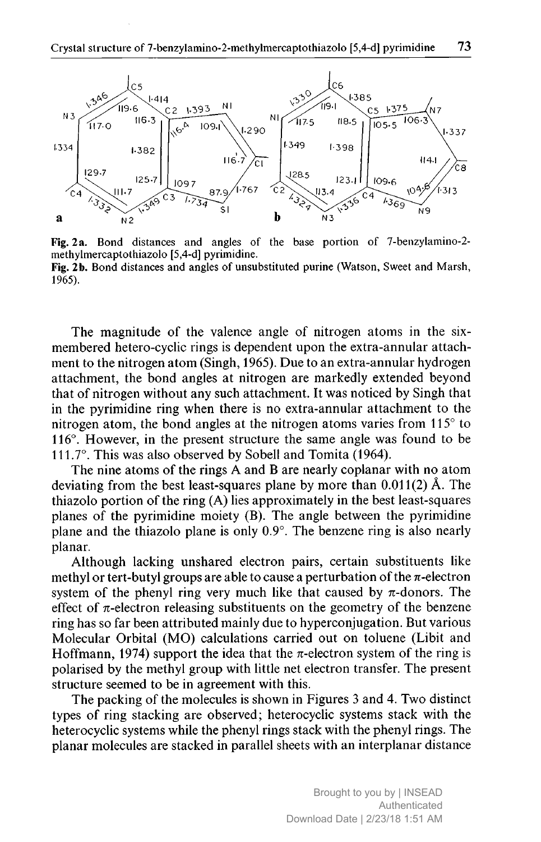

Fig. <sup>2</sup> a. Bond distances and angles of the base portion of 7-benzylamino-2 methylmercaptothiazolo [5,4-d] pyrimidine. Fig. 2b. Bond distances and angles of unsubstituted purine (Watson, Sweet and Marsh, 1965).

The magnitude of the valence angle of nitrogen atoms in the sixmembered hetero-cyclic rings is dependent upon the extra-annular attachment to the nitrogen atom (Singh, 1965). Due to an extra-annular hydrogen attachment, the bond angles at nitrogen are markedly extended beyond that of nitrogen without any such attachment. It was noticed by Singh that in the pyrimidine ring when there is no extra-annular attachment to the nitrogen atom, the bond angles at the nitrogen atoms varies from 115° to 116°. However, in the present structure the same angle was found to be 111.7°. This was also observed by Sobell and Tomita (1964).

The nine atoms of the rings A and <sup>B</sup> are nearly coplanar with no atom deviating from the best least-squares plane by more than 0.011(2) A. The thiazolo portion of the ring (A) lies approximately in the best least-squares planes of the pyrimidine moiety (B). The angle between the pyrimidine plane and the thiazolo plane is only 0.9°. The benzene ring is also nearly planar.

Although lacking unshared electron pairs, certain substituents like methyl or tert-butyl groups are able to cause a perturbation of the  $\pi$ -electron system of the phenyl ring very much like that caused by  $\pi$ -donors. The effect of  $\pi$ -electron releasing substituents on the geometry of the benzene ring has so far been attributed mainly due to hyperconjugation. But various Molecular Orbital (MO) calculations carried out on toluene (Libit and Hoffmann, 1974) support the idea that the  $\pi$ -electron system of the ring is polarised by the methyl group with little net electron transfer. The present structure seemed to be in agreement with this.

The packing of the molecules is shown in Figures <sup>3</sup> and 4. Two distinct types of ring stacking are observed; heterocyclic systems stack with the heterocyclic systems while the phenyl rings stack with the phenyl rings. The planar molecules are stacked in parallel sheets with an interplanar distance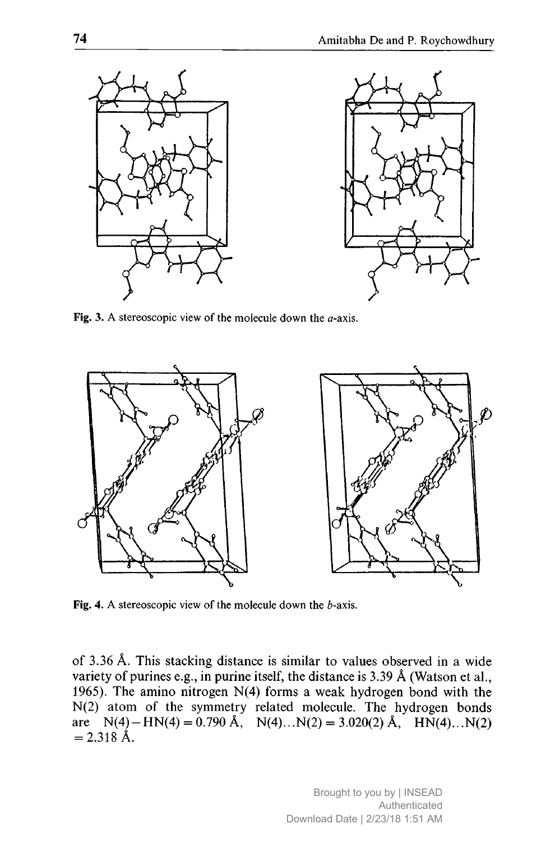

Fig. 3. A stereoscopic view of the molecule down the  $a$ -axis.



Fig. 4. A stereoscopic view of the molecule down the  $b$ -axis.

of 3.36 Ä. This stacking distance is similar to values observed in <sup>a</sup> wide variety of purines e.g., in purine itself, the distance is 3.39 Ä (Watson et al., 1965). The amino nitrogen N(4) forms <sup>a</sup> weak hydrogen bond with the N(2) atom of the symmetry related molecule. The hydrogen bonds are  $N(4) - KN(4) = 0.790 \text{ Å}, N(4)...N(2) = 3.020(2) \text{ Å}, HM(4)...N(2)$  $= 2.318 \text{ Å}.$